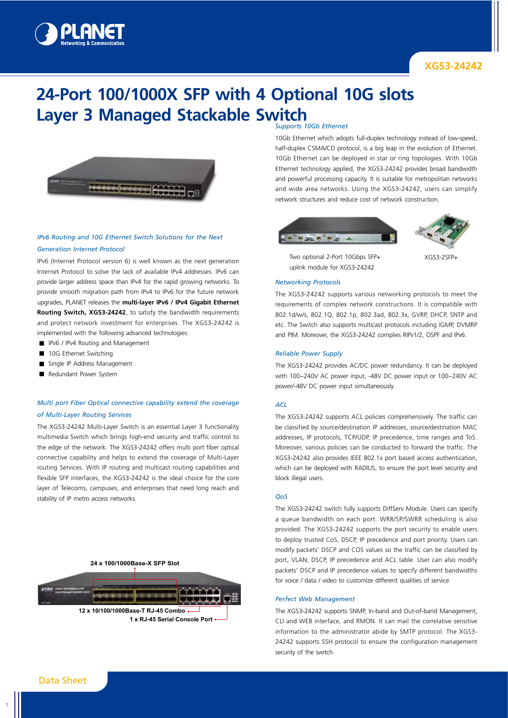

# **24-Port 100/1000X SFP with 4 Optional 10G slots Layer 3 Managed Stackable Switch**



# *IPv6 Routing and 10G Ethernet Switch Solutions for the Next*

# *Generation Internet Protocol*

IPv6 (Internet Protocol version 6) is well known as the next generation Internet Protocol to solve the lack of available IPv4 addresses. IPv6 can provide larger address space than IPv4 for the rapid growing networks. To provide smooth migration path from IPv4 to IPv6 for the future network upgrades, PLANET releases the **multi-layer IPv6 / IPv4 Gigabit Ethernet Routing Switch, XGS3-24242**, to satisfy the bandwidth requirements and protect network investment for enterprises. The XGS3-24242 is implemented with the following advanced technologies:

- IPv6 / IPv4 Routing and Management
- 10G Ethernet Switching
- Single IP Address Management
- Redundant Power System

# *Multi port Fiber Optical connective capability extend the coverage of Multi-Layer Routing Services*

The XGS3-24242 Multi-Layer Switch is an essential Layer 3 functionality multimedia Switch which brings high-end security and traffic control to the edge of the network. The XGS3-24242 offers multi port fiber optical connective capability and helps to extend the coverage of Multi-Layer routing Services. With IP routing and multicast routing capabilities and flexible SFP interfaces, the XGS3-24242 is the ideal choice for the core layer of Telecoms, campuses, and enterprises that need long reach and stability of IP metro access networks.

#### **24 x 100/1000Base-X SFP Slot**



#### *Supports 10Gb Ethernet*

10Gb Ethernet which adopts full-duplex technology instead of low-speed, half-duplex CSMA/CD protocol, is a big leap in the evolution of Ethernet. 10Gb Ethernet can be deployed in star or ring topologies. With 10Gb Ethernet technology applied, the XGS3-24242 provides broad bandwidth and powerful processing capacity. It is suitable for metropolitan networks and wide area networks. Using the XGS3-24242, users can simplify network structures and reduce cost of network construction.



Two optional 2-Port 10Gbps SFP+ uplink module for XGS3-24242



XGS3-2SFP+

#### *Networking Protocols*

The XGS3-24242 supports various networking protocols to meet the requirements of complex network constructions. It is compatible with 802.1d/w/s, 802.1Q, 802.1p, 802.3ad, 802.3x, GVRP, DHCP, SNTP and etc. The Switch also supports multicast protocols including IGMP, DVMRP and PIM. Moreover, the XGS3-24242 complies RIPv1/2, OSPF and IPv6.

#### *Reliable Power Supply*

The XGS3-24242 provides AC/DC power redundancy. It can be deployed with 100~240V AC power input, -48V DC power input or 100~240V AC power/-48V DC power input simultaneously.

## *ACL*

The XGS3-24242 supports ACL policies comprehensively. The traffic can be classified by source/destination IP addresses, source/destination MAC addresses, IP protocols, TCP/UDP, IP precedence, time ranges and ToS. Moreover, various policies can be conducted to forward the traffic. The XGS3-24242 also provides IEEE 802.1x port based access authentication, which can be deployed with RADIUS, to ensure the port level security and block illegal users.

#### *QoS*

The XGS3-24242 switch fully supports DiffServ Module. Users can specify a queue bandwidth on each port. WRR/SP/SWRR scheduling is also provided. The XGS3-24242 supports the port security to enable users to deploy trusted CoS, DSCP, IP precedence and port priority. Users can modify packets' DSCP and COS values so the traffic can be classified by port, VLAN, DSCP, IP precedence and ACL table. User can also modify packets' DSCP and IP precedence values to specify different bandwidths for voice / data / video to customize different qualities of service.

#### *Perfect Web Management*

The XGS3-24242 supports SNMP, In-band and Out-of-band Management, CLI and WEB interface, and RMON. It can mail the correlative sensitive information to the administrator abide by SMTP protocol. The XGS3- 24242 supports SSH protocol to ensure the configuration management security of the switch.

Data Sheet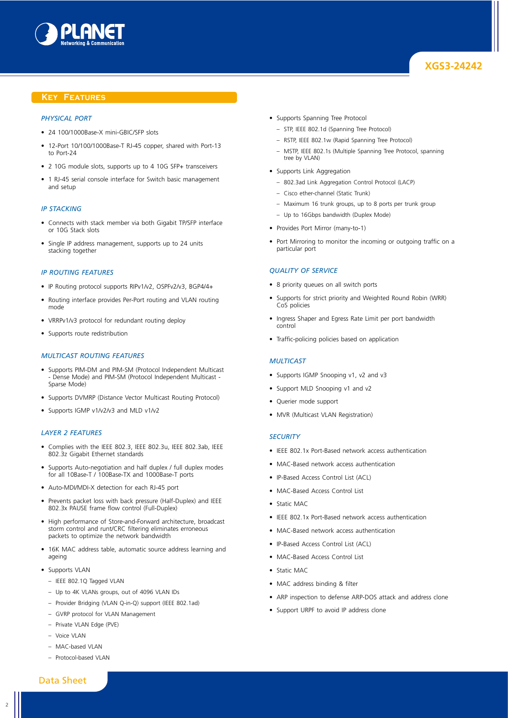

## **Key Features**

#### *Physical Port*

- 24 100/1000Base-X mini-GBIC/SFP slots
- 12-Port 10/100/1000Base-T RJ-45 copper, shared with Port-13 to Port-24
- 2 10G module slots, supports up to 4 10G SFP+ transceivers
- 1 RJ-45 serial console interface for Switch basic management and setup

#### *IP Stacking*

- Connects with stack member via both Gigabit TP/SFP interface or 10G Stack slots
- Single IP address management, supports up to 24 units stacking together

#### *IP Routing Features*

- IP Routing protocol supports RIPv1/v2, OSPFv2/v3, BGP4/4+
- Routing interface provides Per-Port routing and VLAN routing mode
- VRRPv1/v3 protocol for redundant routing deploy
- Supports route redistribution

#### *Multicast Routing Features*

- Supports PIM-DM and PIM-SM (Protocol Independent Multicast - Dense Mode) and PIM-SM (Protocol Independent Multicast - Sparse Mode)
- Supports DVMRP (Distance Vector Multicast Routing Protocol)
- Supports IGMP v1/v2/v3 and MLD v1/v2

### *Layer 2 Features*

- Complies with the IEEE 802.3, IEEE 802.3u, IEEE 802.3ab, IEEE 802.3z Gigabit Ethernet standards
- Supports Auto-negotiation and half duplex / full duplex modes for all 10Base-T / 100Base-TX and 1000Base-T ports
- Auto-MDI/MDI-X detection for each RJ-45 port
- Prevents packet loss with back pressure (Half-Duplex) and IEEE 802.3x PAUSE frame flow control (Full-Duplex)
- High performance of Store-and-Forward architecture, broadcast storm control and runt/CRC filtering eliminates erroneous packets to optimize the network bandwidth
- 16K MAC address table, automatic source address learning and ageing
- Supports VLAN
	- IEEE 802.1Q Tagged VLAN
	- Up to 4K VLANs groups, out of 4096 VLAN IDs
	- Provider Bridging (VLAN Q-in-Q) support (IEEE 802.1ad)
	- GVRP protocol for VLAN Management
	- Private VLAN Edge (PVE)
	- Voice VLAN
	- MAC-based VLAN
	- Protocol-based VLAN
- Supports Spanning Tree Protocol
	- STP, IEEE 802.1d (Spanning Tree Protocol)
	- RSTP, IEEE 802.1w (Rapid Spanning Tree Protocol)
	- MSTP, IEEE 802.1s (Multiple Spanning Tree Protocol, spanning tree by VLAN)
- Supports Link Aggregation
	- 802.3ad Link Aggregation Control Protocol (LACP)
	- Cisco ether-channel (Static Trunk)
	- Maximum 16 trunk groups, up to 8 ports per trunk group
	- Up to 16Gbps bandwidth (Duplex Mode)
- Provides Port Mirror (many-to-1)
- Port Mirroring to monitor the incoming or outgoing traffic on a particular port

#### *Quality of Service*

- 8 priority queues on all switch ports
- Supports for strict priority and Weighted Round Robin (WRR) CoS policies
- Ingress Shaper and Egress Rate Limit per port bandwidth control
- Traffic-policing policies based on application

#### *Multicast*

- Supports IGMP Snooping v1, v2 and v3
- Support MLD Snooping v1 and v2
- Querier mode support
- MVR (Multicast VLAN Registration)

### *Security*

- IEEE 802.1x Port-Based network access authentication
- MAC-Based network access authentication
- IP-Based Access Control List (ACL)
- MAC-Based Access Control List
- Static MAC
- IEEE 802.1x Port-Based network access authentication
- MAC-Based network access authentication
- IP-Based Access Control List (ACL)
- MAC-Based Access Control List
- Static MAC
- MAC address binding & filter
- ARP inspection to defense ARP-DOS attack and address clone
- Support URPF to avoid IP address clone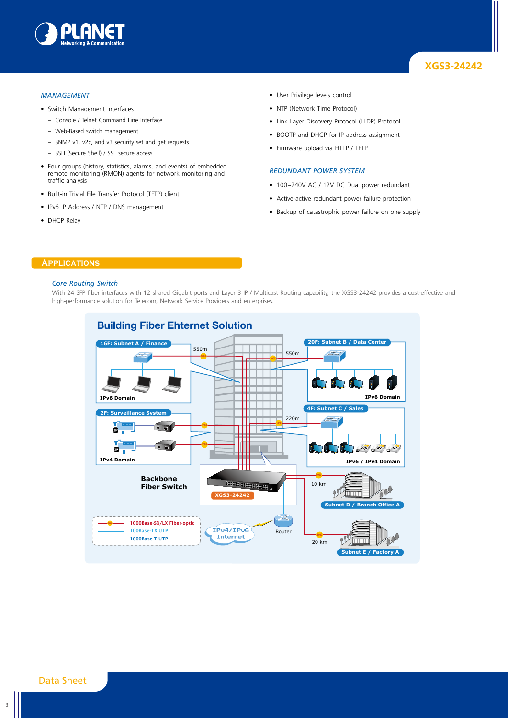

### *Management*

- Switch Management Interfaces
	- Console / Telnet Command Line Interface
	- Web-Based switch management
	- SNMP v1, v2c, and v3 security set and get requests
	- SSH (Secure Shell) / SSL secure access
- Four groups (history, statistics, alarms, and events) of embedded remote monitoring (RMON) agents for network monitoring and traffic analysis
- Built-in Trivial File Transfer Protocol (TFTP) client
- IPv6 IP Address / NTP / DNS management
- DHCP Relay
- User Privilege levels control
- NTP (Network Time Protocol)
- Link Layer Discovery Protocol (LLDP) Protocol
- BOOTP and DHCP for IP address assignment
- Firmware upload via HTTP / TFTP

#### *Redundant Power System*

- 100~240V AC / 12V DC Dual power redundant
- Active-active redundant power failure protection
- Backup of catastrophic power failure on one supply

## **Applications**

#### *Core Routing Switch*

With 24 SFP fiber interfaces with 12 shared Gigabit ports and Layer 3 IP / Multicast Routing capability, the XGS3-24242 provides a cost-effective and high-performance solution for Telecom, Network Service Providers and enterprises.

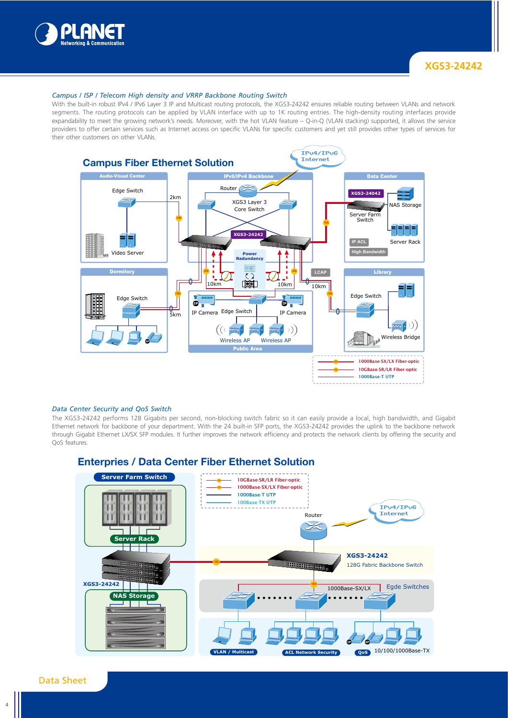

### *Campus / ISP / Telecom High density and VRRP Backbone Routing Switch*

With the built-in robust IPv4 / IPv6 Layer 3 IP and Multicast routing protocols, the XGS3-24242 ensures reliable routing between VLANs and network segments. The routing protocols can be applied by VLAN interface with up to 1K routing entries. The high-density routing interfaces provide expandability to meet the growing network's needs. Moreover, with the hot VLAN feature – Q-in-Q (VLAN stacking) supported, it allows the service providers to offer certain services such as Internet access on specific VLANs for specific customers and yet still provides other types of services for their other customers on other VLANs.



#### *Data Center Security and QoS Switch*

The XGS3-24242 performs 128 Gigabits per second, non-blocking switch fabric so it can easily provide a local, high bandwidth, and Gigabit Ethernet network for backbone of your department. With the 24 built-in SFP ports, the XGS3-24242 provides the uplink to the backbone network through Gigabit Ethernet LX/SX SFP modules. It further improves the network efficiency and protects the network clients by offering the security and QoS features.



# Data Sheet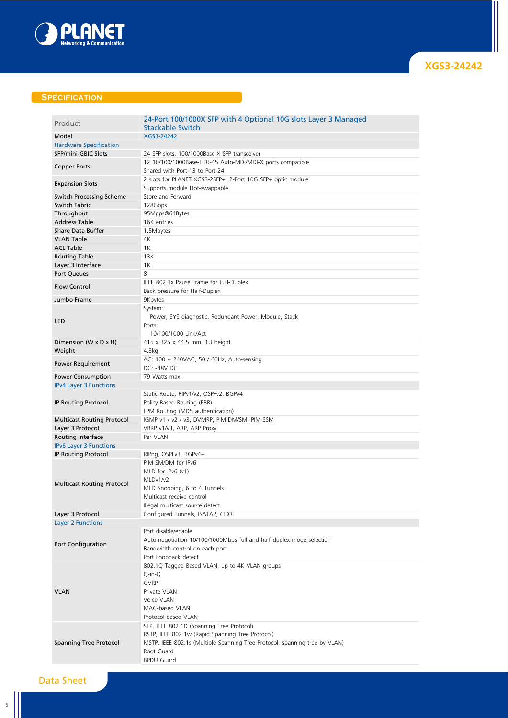

# **SPECIFICATION**

| Product                           | 24-Port 100/1000X SFP with 4 Optional 10G slots Layer 3 Managed            |  |
|-----------------------------------|----------------------------------------------------------------------------|--|
|                                   | <b>Stackable Switch</b>                                                    |  |
| Model                             | XGS3-24242                                                                 |  |
| <b>Hardware Specification</b>     |                                                                            |  |
| SFP/mini-GBIC Slots               | 24 SFP slots, 100/1000Base-X SFP transceiver                               |  |
|                                   | 12 10/100/1000Base-T RJ-45 Auto-MDI/MDI-X ports compatible                 |  |
| Copper Ports                      | Shared with Port-13 to Port-24                                             |  |
|                                   | 2 slots for PLANET XGS3-2SFP+, 2-Port 10G SFP+ optic module                |  |
| <b>Expansion Slots</b>            | Supports module Hot-swappable                                              |  |
|                                   | Store-and-Forward                                                          |  |
| Switch Processing Scheme          |                                                                            |  |
| Switch Fabric                     | 128Gbps                                                                    |  |
| Throughput                        | 95Mpps@64Bytes                                                             |  |
| <b>Address Table</b>              | 16K entries                                                                |  |
| <b>Share Data Buffer</b>          | 1.5Mbytes                                                                  |  |
| <b>VLAN Table</b>                 | 4К                                                                         |  |
| <b>ACL Table</b>                  | 1K                                                                         |  |
| <b>Routing Table</b>              | 13K                                                                        |  |
|                                   | 1K                                                                         |  |
| Layer 3 Interface                 |                                                                            |  |
| Port Queues                       | 8                                                                          |  |
| <b>Flow Control</b>               | IEEE 802.3x Pause Frame for Full-Duplex                                    |  |
|                                   | Back pressure for Half-Duplex                                              |  |
| Jumbo Frame                       | 9Kbytes                                                                    |  |
|                                   | System:                                                                    |  |
|                                   | Power, SYS diagnostic, Redundant Power, Module, Stack                      |  |
| LED                               | Ports:                                                                     |  |
|                                   |                                                                            |  |
|                                   | 10/100/1000 Link/Act                                                       |  |
| Dimension (W x D x H)             | 415 x 325 x 44.5 mm, 1U height                                             |  |
| Weight                            | 4.3kg                                                                      |  |
|                                   | AC: 100 ~ 240VAC, 50 / 60Hz, Auto-sensing                                  |  |
| <b>Power Requirement</b>          | DC: - 48V DC                                                               |  |
| <b>Power Consumption</b>          | 79 Watts max.                                                              |  |
| <b>IPv4 Layer 3 Functions</b>     |                                                                            |  |
|                                   | Static Route, RIPv1/v2, OSPFv2, BGPv4                                      |  |
|                                   |                                                                            |  |
| <b>IP Routing Protocol</b>        | Policy-Based Routing (PBR)                                                 |  |
|                                   | LPM Routing (MD5 authentication)                                           |  |
| <b>Multicast Routing Protocol</b> | IGMP v1 / v2 / v3, DVMRP, PIM-DM/SM, PIM-SSM                               |  |
| Layer 3 Protocol                  | VRRP v1/v3, ARP, ARP Proxy                                                 |  |
| Routing Interface                 | Per VLAN                                                                   |  |
| <b>IPv6 Layer 3 Functions</b>     |                                                                            |  |
| IP Routing Protocol               | RIPng, OSPFv3, BGPv4+                                                      |  |
|                                   | PIM-SM/DM for IPv6                                                         |  |
|                                   | MLD for IPv6 (v1)                                                          |  |
|                                   |                                                                            |  |
| <b>Multicast Routing Protocol</b> | MLDv1/v2                                                                   |  |
|                                   | MLD Snooping, 6 to 4 Tunnels                                               |  |
|                                   | Multicast receive control                                                  |  |
|                                   | Illegal multicast source detect                                            |  |
| Layer 3 Protocol                  | Configured Tunnels, ISATAP, CIDR                                           |  |
| <b>Layer 2 Functions</b>          |                                                                            |  |
|                                   | Port disable/enable                                                        |  |
|                                   |                                                                            |  |
| Port Configuration                | Auto-negotiation 10/100/1000Mbps full and half duplex mode selection       |  |
|                                   | Bandwidth control on each port                                             |  |
|                                   | Port Loopback detect                                                       |  |
|                                   | 802.1Q Tagged Based VLAN, up to 4K VLAN groups                             |  |
|                                   | Q-in-Q                                                                     |  |
|                                   | <b>GVRP</b>                                                                |  |
|                                   |                                                                            |  |
|                                   |                                                                            |  |
| <b>VLAN</b>                       | Private VLAN                                                               |  |
|                                   | Voice VLAN                                                                 |  |
|                                   | MAC-based VLAN                                                             |  |
|                                   | Protocol-based VLAN                                                        |  |
|                                   | STP, IEEE 802.1D (Spanning Tree Protocol)                                  |  |
|                                   | RSTP, IEEE 802.1w (Rapid Spanning Tree Protocol)                           |  |
| <b>Spanning Tree Protocol</b>     | MSTP, IEEE 802.1s (Multiple Spanning Tree Protocol, spanning tree by VLAN) |  |
|                                   | Root Guard                                                                 |  |

# Data Sheet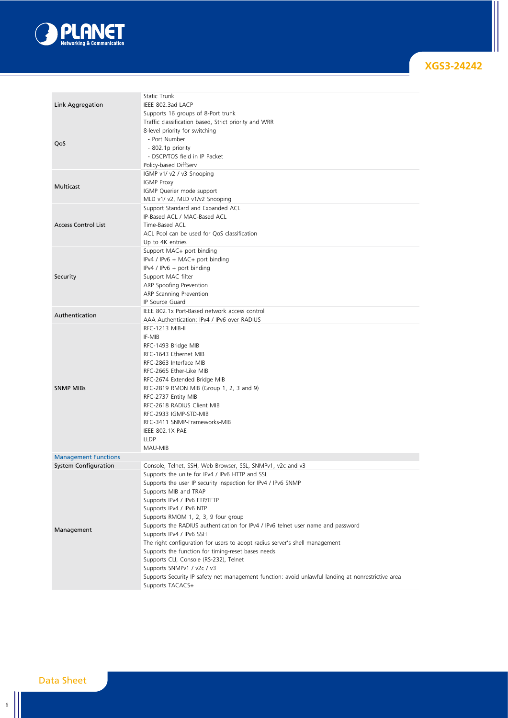

|                             | Static Trunk                                                                                       |
|-----------------------------|----------------------------------------------------------------------------------------------------|
|                             |                                                                                                    |
| Link Aggregation            | IEEE 802.3ad LACP                                                                                  |
|                             | Supports 16 groups of 8-Port trunk                                                                 |
|                             | Traffic classification based, Strict priority and WRR                                              |
|                             | 8-level priority for switching                                                                     |
| QoS                         | - Port Number                                                                                      |
|                             | - 802.1p priority                                                                                  |
|                             | - DSCP/TOS field in IP Packet                                                                      |
|                             | Policy-based DiffServ                                                                              |
|                             | IGMP v1/ v2 / v3 Snooping                                                                          |
|                             | <b>IGMP Proxy</b>                                                                                  |
| Multicast                   | IGMP Querier mode support                                                                          |
|                             | MLD v1/ v2, MLD v1/v2 Snooping                                                                     |
|                             | Support Standard and Expanded ACL                                                                  |
|                             | IP-Based ACL / MAC-Based ACL                                                                       |
| <b>Access Control List</b>  | Time-Based ACL                                                                                     |
|                             | ACL Pool can be used for QoS classification                                                        |
|                             | Up to 4K entries                                                                                   |
|                             |                                                                                                    |
|                             | Support MAC+ port binding                                                                          |
|                             | IPv4 / IPv6 + MAC+ port binding                                                                    |
|                             | IPv4 / IPv6 + port binding                                                                         |
| Security                    | Support MAC filter                                                                                 |
|                             | ARP Spoofing Prevention                                                                            |
|                             | ARP Scanning Prevention                                                                            |
|                             | IP Source Guard                                                                                    |
| Authentication              | IEEE 802.1x Port-Based network access control                                                      |
|                             | AAA Authentication: IPv4 / IPv6 over RADIUS                                                        |
|                             | RFC-1213 MIB-II                                                                                    |
|                             | IF-MIB                                                                                             |
|                             | RFC-1493 Bridge MIB                                                                                |
|                             | RFC-1643 Ethernet MIB                                                                              |
|                             | RFC-2863 Interface MIB                                                                             |
|                             | RFC-2665 Ether-Like MIB                                                                            |
|                             | RFC-2674 Extended Bridge MIB                                                                       |
| <b>SNMP MIBS</b>            | RFC-2819 RMON MIB (Group 1, 2, 3 and 9)                                                            |
|                             | RFC-2737 Entity MIB                                                                                |
|                             | RFC-2618 RADIUS Client MIB                                                                         |
|                             | RFC-2933 IGMP-STD-MIB                                                                              |
|                             |                                                                                                    |
|                             | RFC-3411 SNMP-Frameworks-MIB                                                                       |
|                             | IEEE 802.1X PAE                                                                                    |
|                             | <b>LLDP</b>                                                                                        |
|                             | MAU-MIB                                                                                            |
| <b>Management Functions</b> |                                                                                                    |
| <b>System Configuration</b> | Console, Telnet, SSH, Web Browser, SSL, SNMPv1, v2c and v3                                         |
|                             | Supports the unite for IPv4 / IPv6 HTTP and SSL                                                    |
|                             | Supports the user IP security inspection for IPv4 / IPv6 SNMP                                      |
|                             | Supports MIB and TRAP                                                                              |
|                             | Supports IPv4 / IPv6 FTP/TFTP                                                                      |
|                             | Supports IPv4 / IPv6 NTP                                                                           |
|                             | Supports RMOM 1, 2, 3, 9 four group                                                                |
| Management                  | Supports the RADIUS authentication for IPv4 / IPv6 telnet user name and password                   |
|                             | Supports IPv4 / IPv6 SSH                                                                           |
|                             | The right configuration for users to adopt radius server's shell management                        |
|                             | Supports the function for timing-reset bases needs                                                 |
|                             | Supports CLI, Console (RS-232), Telnet                                                             |
|                             | Supports SNMPv1 / v2c / v3                                                                         |
|                             | Supports Security IP safety net management function: avoid unlawful landing at nonrestrictive area |
|                             | Supports TACACS+                                                                                   |